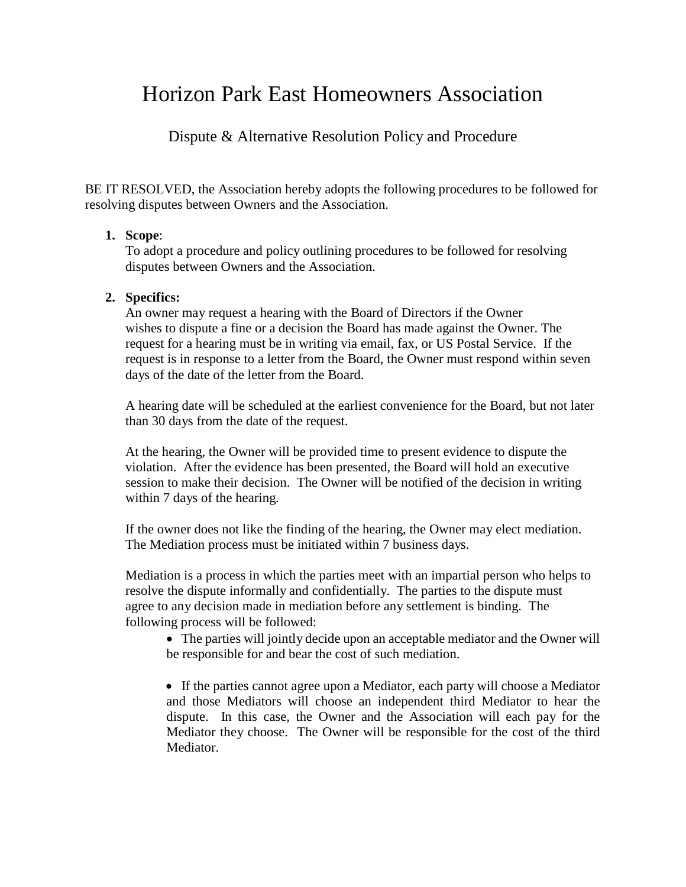# Horizon Park East Homeowners Association

Dispute & Alternative Resolution Policy and Procedure

BE IT RESOLVED, the Association hereby adopts the following procedures to be followed for resolving disputes between Owners and the Association.

### **1. Scope**:

To adopt a procedure and policy outlining procedures to be followed for resolving disputes between Owners and the Association.

### **2. Specifics:**

An owner may request a hearing with the Board of Directors if the Owner wishes to dispute a fine or a decision the Board has made against the Owner. The request for a hearing must be in writing via email, fax, or US Postal Service. If the request is in response to a letter from the Board, the Owner must respond within seven days of the date of the letter from the Board.

A hearing date will be scheduled at the earliest convenience for the Board, but not later than 30 days from the date of the request.

At the hearing, the Owner will be provided time to present evidence to dispute the violation. After the evidence has been presented, the Board will hold an executive session to make their decision. The Owner will be notified of the decision in writing within 7 days of the hearing.

If the owner does not like the finding of the hearing, the Owner may elect mediation. The Mediation process must be initiated within 7 business days.

Mediation is a process in which the parties meet with an impartial person who helps to resolve the dispute informally and confidentially. The parties to the dispute must agree to any decision made in mediation before any settlement is binding. The following process will be followed:

• The parties will jointly decide upon an acceptable mediator and the Owner will be responsible for and bear the cost of such mediation.

• If the parties cannot agree upon a Mediator, each party will choose a Mediator and those Mediators will choose an independent third Mediator to hear the dispute. In this case, the Owner and the Association will each pay for the Mediator they choose. The Owner will be responsible for the cost of the third Mediator.